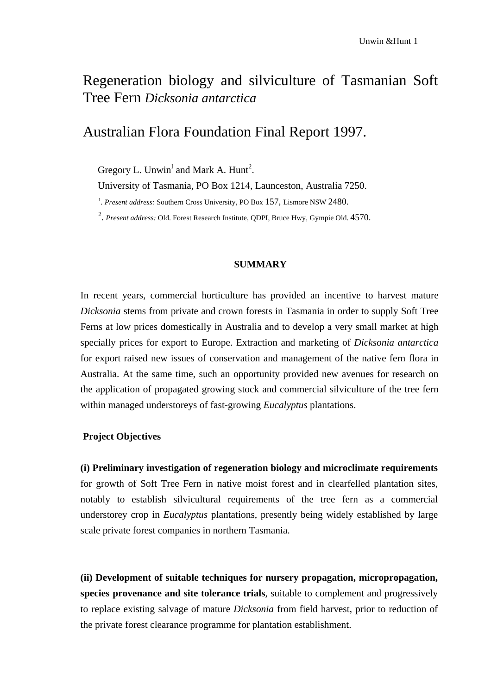# Regeneration biology and silviculture of Tasmanian Soft Tree Fern *Dicksonia antarctica*

## Australian Flora Foundation Final Report 1997.

Gregory L. Unwin<sup>I</sup> and Mark A. Hunt<sup>2</sup>.

University of Tasmania, PO Box 1214, Launceston, Australia 7250.

<sup>1</sup>. Present address: Southern Cross University, PO Box 157, Lismore NSW 2480.

2 . *Present address:* Old. Forest Research Institute, QDPI, Bruce Hwy, Gympie Old. 4570.

#### **SUMMARY**

In recent years, commercial horticulture has provided an incentive to harvest mature *Dicksonia* stems from private and crown forests in Tasmania in order to supply Soft Tree Ferns at low prices domestically in Australia and to develop a very small market at high specially prices for export to Europe. Extraction and marketing of *Dicksonia antarctica*  for export raised new issues of conservation and management of the native fern flora in Australia. At the same time, such an opportunity provided new avenues for research on the application of propagated growing stock and commercial silviculture of the tree fern within managed understoreys of fast-growing *Eucalyptus* plantations.

### **Project Objectives**

**(i) Preliminary investigation of regeneration biology and microclimate requirements**  for growth of Soft Tree Fern in native moist forest and in clearfelled plantation sites, notably to establish silvicultural requirements of the tree fern as a commercial understorey crop in *Eucalyptus* plantations, presently being widely established by large scale private forest companies in northern Tasmania.

**(ii) Development of suitable techniques for nursery propagation, micropropagation, species provenance and site tolerance trials**, suitable to complement and progressively to replace existing salvage of mature *Dicksonia* from field harvest, prior to reduction of the private forest clearance programme for plantation establishment.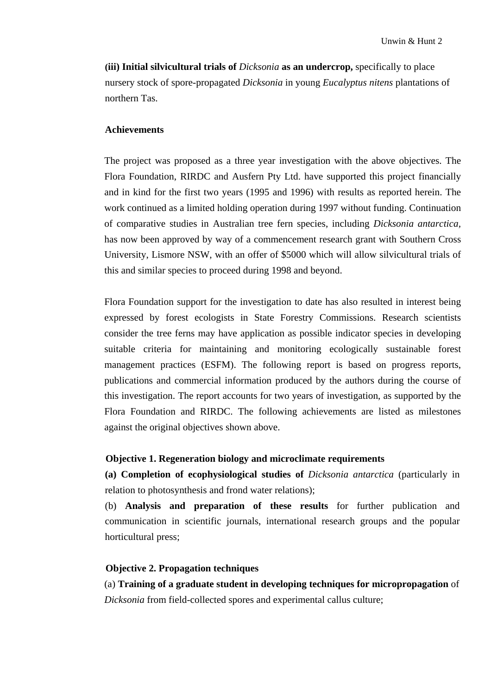**(iii) Initial silvicultural trials of** *Dicksonia* **as an undercrop,** specifically to place nursery stock of spore-propagated *Dicksonia* in young *Eucalyptus nitens* plantations of northern Tas.

#### **Achievements**

The project was proposed as a three year investigation with the above objectives. The Flora Foundation, RIRDC and Ausfern Pty Ltd. have supported this project financially and in kind for the first two years (1995 and 1996) with results as reported herein. The work continued as a limited holding operation during 1997 without funding. Continuation of comparative studies in Australian tree fern species, including *Dicksonia antarctica,*  has now been approved by way of a commencement research grant with Southern Cross University, Lismore NSW, with an offer of \$5000 which will allow silvicultural trials of this and similar species to proceed during 1998 and beyond.

Flora Foundation support for the investigation to date has also resulted in interest being expressed by forest ecologists in State Forestry Commissions. Research scientists consider the tree ferns may have application as possible indicator species in developing suitable criteria for maintaining and monitoring ecologically sustainable forest management practices (ESFM). The following report is based on progress reports, publications and commercial information produced by the authors during the course of this investigation. The report accounts for two years of investigation, as supported by the Flora Foundation and RIRDC. The following achievements are listed as milestones against the original objectives shown above.

### **Objective 1. Regeneration biology and microclimate requirements**

**(a) Completion of ecophysiological studies of** *Dicksonia antarctica* (particularly in relation to photosynthesis and frond water relations);

(b) **Analysis and preparation of these results** for further publication and communication in scientific journals, international research groups and the popular horticultural press;

#### **Objective 2. Propagation techniques**

(a) **Training of a graduate student in developing techniques for micropropagation** of *Dicksonia* from field-collected spores and experimental callus culture;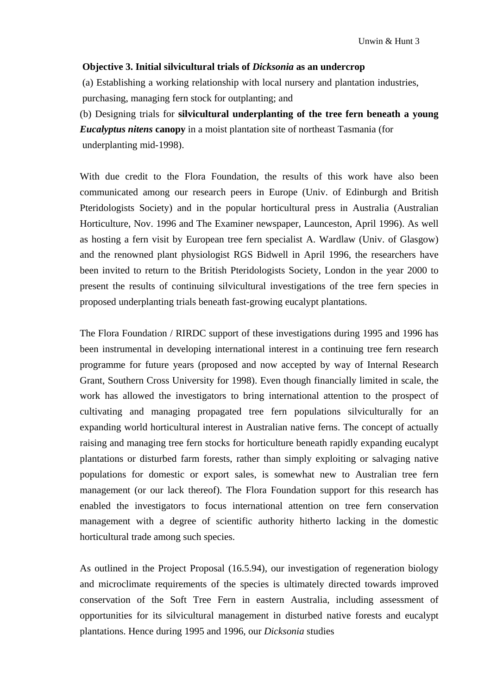#### **Objective 3. Initial silvicultural trials of** *Dicksonia* **as an undercrop**

(a) Establishing a working relationship with local nursery and plantation industries, purchasing, managing fern stock for outplanting; and

(b) Designing trials for **silvicultural underplanting of the tree fern beneath a young**  *Eucalyptus nitens* **canopy** in a moist plantation site of northeast Tasmania (for underplanting mid-1998).

With due credit to the Flora Foundation, the results of this work have also been communicated among our research peers in Europe (Univ. of Edinburgh and British Pteridologists Society) and in the popular horticultural press in Australia (Australian Horticulture, Nov. 1996 and The Examiner newspaper, Launceston, April 1996). As well as hosting a fern visit by European tree fern specialist A. Wardlaw (Univ. of Glasgow) and the renowned plant physiologist RGS Bidwell in April 1996, the researchers have been invited to return to the British Pteridologists Society, London in the year 2000 to present the results of continuing silvicultural investigations of the tree fern species in proposed underplanting trials beneath fast-growing eucalypt plantations.

The Flora Foundation / RIRDC support of these investigations during 1995 and 1996 has been instrumental in developing international interest in a continuing tree fern research programme for future years (proposed and now accepted by way of Internal Research Grant, Southern Cross University for 1998). Even though financially limited in scale, the work has allowed the investigators to bring international attention to the prospect of cultivating and managing propagated tree fern populations silviculturally for an expanding world horticultural interest in Australian native ferns. The concept of actually raising and managing tree fern stocks for horticulture beneath rapidly expanding eucalypt plantations or disturbed farm forests, rather than simply exploiting or salvaging native populations for domestic or export sales, is somewhat new to Australian tree fern management (or our lack thereof). The Flora Foundation support for this research has enabled the investigators to focus international attention on tree fern conservation management with a degree of scientific authority hitherto lacking in the domestic horticultural trade among such species.

As outlined in the Project Proposal (16.5.94), our investigation of regeneration biology and microclimate requirements of the species is ultimately directed towards improved conservation of the Soft Tree Fern in eastern Australia, including assessment of opportunities for its silvicultural management in disturbed native forests and eucalypt plantations. Hence during 1995 and 1996, our *Dicksonia* studies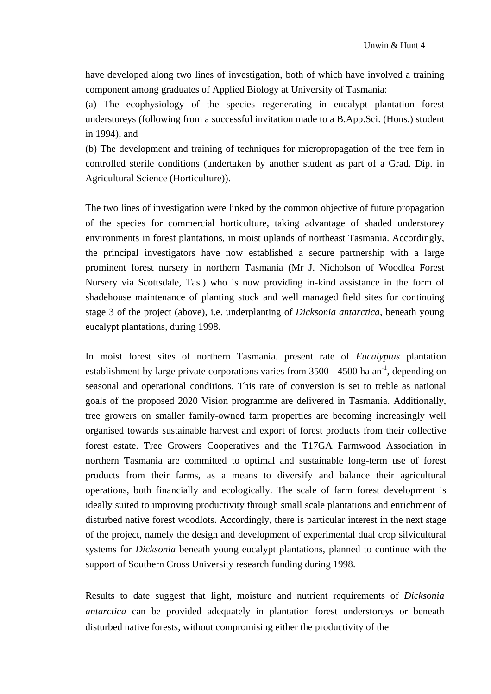have developed along two lines of investigation, both of which have involved a training component among graduates of Applied Biology at University of Tasmania:

(a) The ecophysiology of the species regenerating in eucalypt plantation forest understoreys (following from a successful invitation made to a B.App.Sci. (Hons.) student in 1994), and

(b) The development and training of techniques for micropropagation of the tree fern in controlled sterile conditions (undertaken by another student as part of a Grad. Dip. in Agricultural Science (Horticulture)).

The two lines of investigation were linked by the common objective of future propagation of the species for commercial horticulture, taking advantage of shaded understorey environments in forest plantations, in moist uplands of northeast Tasmania. Accordingly, the principal investigators have now established a secure partnership with a large prominent forest nursery in northern Tasmania (Mr J. Nicholson of Woodlea Forest Nursery via Scottsdale, Tas.) who is now providing in-kind assistance in the form of shadehouse maintenance of planting stock and well managed field sites for continuing stage 3 of the project (above), i.e. underplanting of *Dicksonia antarctica,* beneath young eucalypt plantations, during 1998.

In moist forest sites of northern Tasmania. present rate of *Eucalyptus* plantation establishment by large private corporations varies from  $3500 - 4500$  ha an<sup>-1</sup>, depending on seasonal and operational conditions. This rate of conversion is set to treble as national goals of the proposed 2020 Vision programme are delivered in Tasmania. Additionally, tree growers on smaller family-owned farm properties are becoming increasingly well organised towards sustainable harvest and export of forest products from their collective forest estate. Tree Growers Cooperatives and the T17GA Farmwood Association in northern Tasmania are committed to optimal and sustainable long-term use of forest products from their farms, as a means to diversify and balance their agricultural operations, both financially and ecologically. The scale of farm forest development is ideally suited to improving productivity through small scale plantations and enrichment of disturbed native forest woodlots. Accordingly, there is particular interest in the next stage of the project, namely the design and development of experimental dual crop silvicultural systems for *Dicksonia* beneath young eucalypt plantations, planned to continue with the support of Southern Cross University research funding during 1998.

Results to date suggest that light, moisture and nutrient requirements of *Dicksonia antarctica* can be provided adequately in plantation forest understoreys or beneath disturbed native forests, without compromising either the productivity of the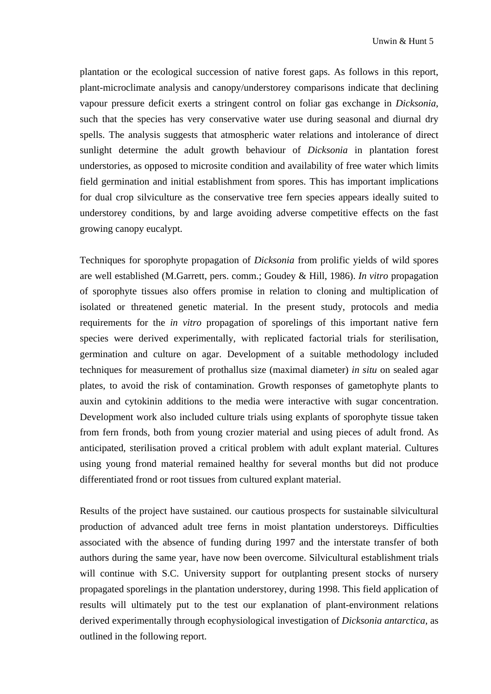plantation or the ecological succession of native forest gaps. As follows in this report, plant-microclimate analysis and canopy/understorey comparisons indicate that declining vapour pressure deficit exerts a stringent control on foliar gas exchange in *Dicksonia,*  such that the species has very conservative water use during seasonal and diurnal dry spells. The analysis suggests that atmospheric water relations and intolerance of direct sunlight determine the adult growth behaviour of *Dicksonia* in plantation forest understories, as opposed to microsite condition and availability of free water which limits field germination and initial establishment from spores. This has important implications for dual crop silviculture as the conservative tree fern species appears ideally suited to understorey conditions, by and large avoiding adverse competitive effects on the fast growing canopy eucalypt.

Techniques for sporophyte propagation of *Dicksonia* from prolific yields of wild spores are well established (M.Garrett, pers. comm.; Goudey & Hill, 1986). *In vitro* propagation of sporophyte tissues also offers promise in relation to cloning and multiplication of isolated or threatened genetic material. In the present study, protocols and media requirements for the *in vitro* propagation of sporelings of this important native fern species were derived experimentally, with replicated factorial trials for sterilisation, germination and culture on agar. Development of a suitable methodology included techniques for measurement of prothallus size (maximal diameter) *in situ* on sealed agar plates, to avoid the risk of contamination. Growth responses of gametophyte plants to auxin and cytokinin additions to the media were interactive with sugar concentration. Development work also included culture trials using explants of sporophyte tissue taken from fern fronds, both from young crozier material and using pieces of adult frond. As anticipated, sterilisation proved a critical problem with adult explant material. Cultures using young frond material remained healthy for several months but did not produce differentiated frond or root tissues from cultured explant material.

Results of the project have sustained. our cautious prospects for sustainable silvicultural production of advanced adult tree ferns in moist plantation understoreys. Difficulties associated with the absence of funding during 1997 and the interstate transfer of both authors during the same year, have now been overcome. Silvicultural establishment trials will continue with S.C. University support for outplanting present stocks of nursery propagated sporelings in the plantation understorey, during 1998. This field application of results will ultimately put to the test our explanation of plant-environment relations derived experimentally through ecophysiological investigation of *Dicksonia antarctica,* as outlined in the following report.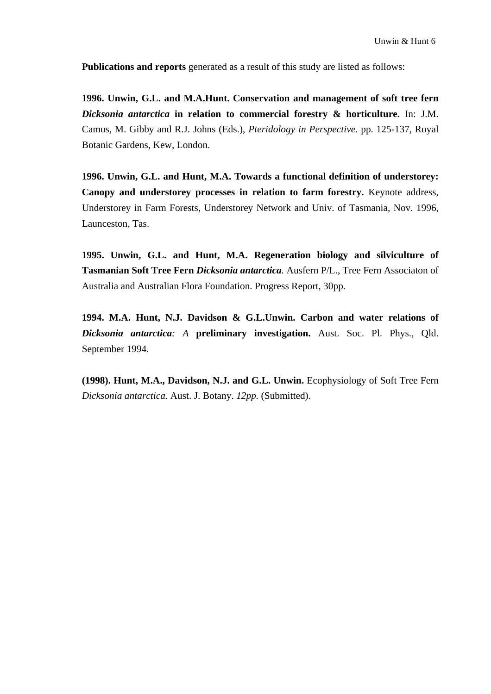**Publications and reports** generated as a result of this study are listed as follows:

**1996. Unwin, G.L. and M.A.Hunt. Conservation and management of soft tree fern**  *Dicksonia antarctica* **in relation to commercial forestry & horticulture.** In: J.M. Camus, M. Gibby and R.J. Johns (Eds.), *Pteridology in Perspective.* pp. 125-137*,* Royal Botanic Gardens, Kew, London.

**1996. Unwin, G.L. and Hunt, M.A. Towards a functional definition of understorey: Canopy and understorey processes in relation to farm forestry.** Keynote address, Understorey in Farm Forests, Understorey Network and Univ. of Tasmania, Nov. 1996, Launceston, Tas.

**1995. Unwin, G.L. and Hunt, M.A. Regeneration biology and silviculture of Tasmanian Soft Tree Fern** *Dicksonia antarctica.* Ausfern P/L., Tree Fern Associaton of Australia and Australian Flora Foundation. Progress Report, 30pp*.* 

**1994. M.A. Hunt, N.J. Davidson & G.L.Unwin. Carbon and water relations of**  *Dicksonia antarctica: A* **preliminary investigation.** Aust. Soc. Pl. Phys., Qld. September 1994.

**(1998). Hunt, M.A., Davidson, N.J. and G.L. Unwin.** Ecophysiology of Soft Tree Fern *Dicksonia antarctica.* Aust. J. Botany. *12pp.* (Submitted).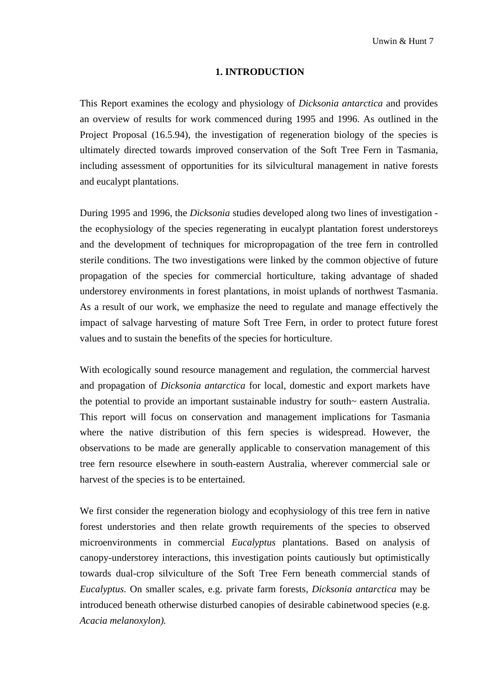#### **1. INTRODUCTION**

This Report examines the ecology and physiology of *Dicksonia antarctica* and provides an overview of results for work commenced during 1995 and 1996. As outlined in the Project Proposal (16.5.94), the investigation of regeneration biology of the species is ultimately directed towards improved conservation of the Soft Tree Fern in Tasmania, including assessment of opportunities for its silvicultural management in native forests and eucalypt plantations.

During 1995 and 1996, the *Dicksonia* studies developed along two lines of investigation the ecophysiology of the species regenerating in eucalypt plantation forest understoreys and the development of techniques for micropropagation of the tree fern in controlled sterile conditions. The two investigations were linked by the common objective of future propagation of the species for commercial horticulture, taking advantage of shaded understorey environments in forest plantations, in moist uplands of northwest Tasmania. As a result of our work, we emphasize the need to regulate and manage effectively the impact of salvage harvesting of mature Soft Tree Fern, in order to protect future forest values and to sustain the benefits of the species for horticulture.

With ecologically sound resource management and regulation, the commercial harvest and propagation of *Dicksonia antarctica* for local, domestic and export markets have the potential to provide an important sustainable industry for south~ eastern Australia. This report will focus on conservation and management implications for Tasmania where the native distribution of this fern species is widespread. However, the observations to be made are generally applicable to conservation management of this tree fern resource elsewhere in south-eastern Australia, wherever commercial sale or harvest of the species is to be entertained.

We first consider the regeneration biology and ecophysiology of this tree fern in native forest understories and then relate growth requirements of the species to observed microenvironments in commercial *Eucalyptus* plantations. Based on analysis of canopy-understorey interactions, this investigation points cautiously but optimistically towards dual-crop silviculture of the Soft Tree Fern beneath commercial stands of *Eucalyptus.* On smaller scales, e.g. private farm forests, *Dicksonia antarctica* may be introduced beneath otherwise disturbed canopies of desirable cabinetwood species (e.g. *Acacia melanoxylon).*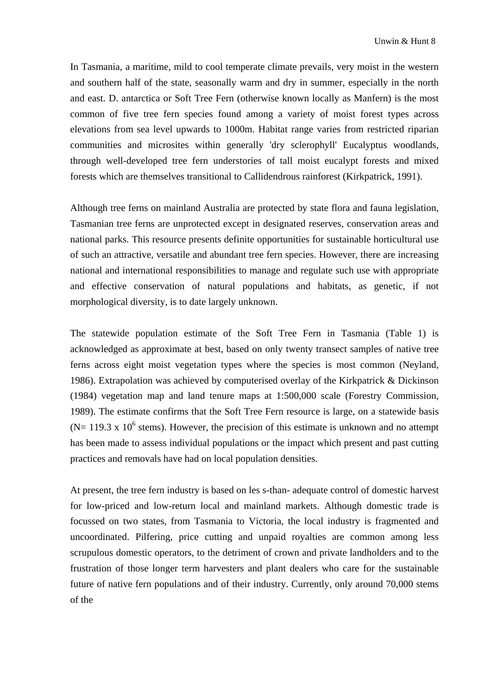In Tasmania, a maritime, mild to cool temperate climate prevails, very moist in the western and southern half of the state, seasonally warm and dry in summer, especially in the north and east. D. antarctica or Soft Tree Fern (otherwise known locally as Manfern) is the most common of five tree fern species found among a variety of moist forest types across elevations from sea level upwards to 1000m. Habitat range varies from restricted riparian communities and microsites within generally 'dry sclerophyll' Eucalyptus woodlands, through well-developed tree fern understories of tall moist eucalypt forests and mixed forests which are themselves transitional to Callidendrous rainforest (Kirkpatrick, 1991).

Although tree ferns on mainland Australia are protected by state flora and fauna legislation, Tasmanian tree ferns are unprotected except in designated reserves, conservation areas and national parks. This resource presents definite opportunities for sustainable horticultural use of such an attractive, versatile and abundant tree fern species. However, there are increasing national and international responsibilities to manage and regulate such use with appropriate and effective conservation of natural populations and habitats, as genetic, if not morphological diversity, is to date largely unknown.

The statewide population estimate of the Soft Tree Fern in Tasmania (Table 1) is acknowledged as approximate at best, based on only twenty transect samples of native tree ferns across eight moist vegetation types where the species is most common (Neyland, 1986). Extrapolation was achieved by computerised overlay of the Kirkpatrick & Dickinson (1984) vegetation map and land tenure maps at 1:500,000 scale (Forestry Commission, 1989). The estimate confirms that the Soft Tree Fern resource is large, on a statewide basis ( $N = 119.3$  x 10<sup>6</sup> stems). However, the precision of this estimate is unknown and no attempt has been made to assess individual populations or the impact which present and past cutting practices and removals have had on local population densities.

At present, the tree fern industry is based on les s-than- adequate control of domestic harvest for low-priced and low-return local and mainland markets. Although domestic trade is focussed on two states, from Tasmania to Victoria, the local industry is fragmented and uncoordinated. Pilfering, price cutting and unpaid royalties are common among less scrupulous domestic operators, to the detriment of crown and private landholders and to the frustration of those longer term harvesters and plant dealers who care for the sustainable future of native fern populations and of their industry. Currently, only around 70,000 stems of the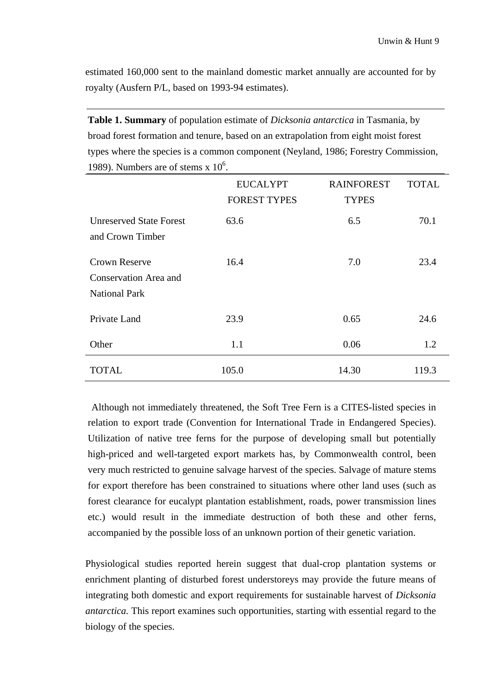estimated 160,000 sent to the mainland domestic market annually are accounted for by royalty (Ausfern P/L, based on 1993-94 estimates).

**Table 1. Summary** of population estimate of *Dicksonia antarctica* in Tasmania, by broad forest formation and tenure, based on an extrapolation from eight moist forest types where the species is a common component (Neyland, 1986; Forestry Commission, 1989). Numbers are of stems  $x$  10<sup>6</sup>.

|                                                                       | <b>EUCALYPT</b><br><b>FOREST TYPES</b> | <b>RAINFOREST</b><br><b>TYPES</b> | <b>TOTAL</b> |
|-----------------------------------------------------------------------|----------------------------------------|-----------------------------------|--------------|
| <b>Unreserved State Forest</b><br>and Crown Timber                    | 63.6                                   | 6.5                               | 70.1         |
| <b>Crown Reserve</b><br>Conservation Area and<br><b>National Park</b> | 16.4                                   | 7.0                               | 23.4         |
| Private Land                                                          | 23.9                                   | 0.65                              | 24.6         |
| Other                                                                 | 1.1                                    | 0.06                              | 1.2          |
| TOTAL                                                                 | 105.0                                  | 14.30                             | 119.3        |

Although not immediately threatened, the Soft Tree Fern is a CITES-listed species in relation to export trade (Convention for International Trade in Endangered Species). Utilization of native tree ferns for the purpose of developing small but potentially high-priced and well-targeted export markets has, by Commonwealth control, been very much restricted to genuine salvage harvest of the species. Salvage of mature stems for export therefore has been constrained to situations where other land uses (such as forest clearance for eucalypt plantation establishment, roads, power transmission lines etc.) would result in the immediate destruction of both these and other ferns, accompanied by the possible loss of an unknown portion of their genetic variation.

Physiological studies reported herein suggest that dual-crop plantation systems or enrichment planting of disturbed forest understoreys may provide the future means of integrating both domestic and export requirements for sustainable harvest of *Dicksonia antarctica.* This report examines such opportunities, starting with essential regard to the biology of the species.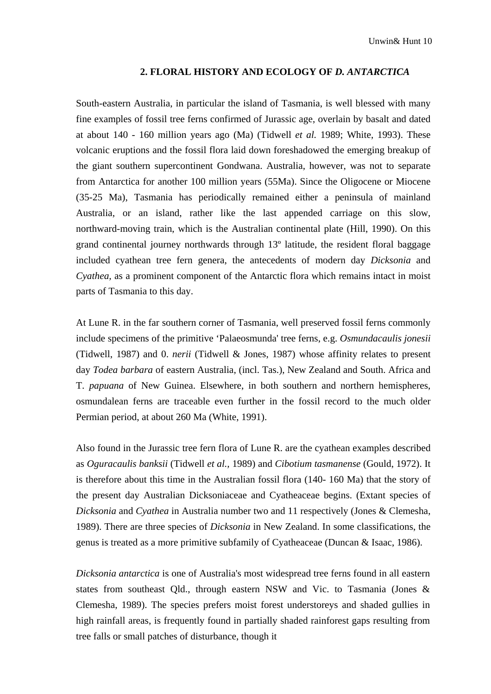#### **2. FLORAL HISTORY AND ECOLOGY OF** *D. ANTARCTICA*

South-eastern Australia, in particular the island of Tasmania, is well blessed with many fine examples of fossil tree ferns confirmed of Jurassic age, overlain by basalt and dated at about 140 - 160 million years ago (Ma) (Tidwell *et al.* 1989; White, 1993). These volcanic eruptions and the fossil flora laid down foreshadowed the emerging breakup of the giant southern supercontinent Gondwana. Australia, however, was not to separate from Antarctica for another 100 million years (55Ma). Since the Oligocene or Miocene (35-25 Ma), Tasmania has periodically remained either a peninsula of mainland Australia, or an island, rather like the last appended carriage on this slow, northward-moving train, which is the Australian continental plate (Hill, 1990). On this grand continental journey northwards through 13º latitude, the resident floral baggage included cyathean tree fern genera, the antecedents of modern day *Dicksonia* and *Cyathea,* as a prominent component of the Antarctic flora which remains intact in moist parts of Tasmania to this day.

At Lune R. in the far southern corner of Tasmania, well preserved fossil ferns commonly include specimens of the primitive 'Palaeosmunda' tree ferns, e.g. *Osmundacaulis jonesii*  (Tidwell, 1987) and 0. *nerii* (Tidwell & Jones, 1987) whose affinity relates to present day *Todea barbara* of eastern Australia, (incl. Tas.), New Zealand and South. Africa and T. *papuana* of New Guinea. Elsewhere, in both southern and northern hemispheres, osmundalean ferns are traceable even further in the fossil record to the much older Permian period, at about 260 Ma (White, 1991).

Also found in the Jurassic tree fern flora of Lune R. are the cyathean examples described as *Oguracaulis banksii* (Tidwell *et al.,* 1989) and *Cibotium tasmanense* (Gould, 1972). It is therefore about this time in the Australian fossil flora (140- 160 Ma) that the story of the present day Australian Dicksoniaceae and Cyatheaceae begins. (Extant species of *Dicksonia* and *Cyathea* in Australia number two and 11 respectively (Jones & Clemesha, 1989). There are three species of *Dicksonia* in New Zealand. In some classifications, the genus is treated as a more primitive subfamily of Cyatheaceae (Duncan & Isaac, 1986).

*Dicksonia antarctica* is one of Australia's most widespread tree ferns found in all eastern states from southeast Qld., through eastern NSW and Vic. to Tasmania (Jones & Clemesha, 1989). The species prefers moist forest understoreys and shaded gullies in high rainfall areas, is frequently found in partially shaded rainforest gaps resulting from tree falls or small patches of disturbance, though it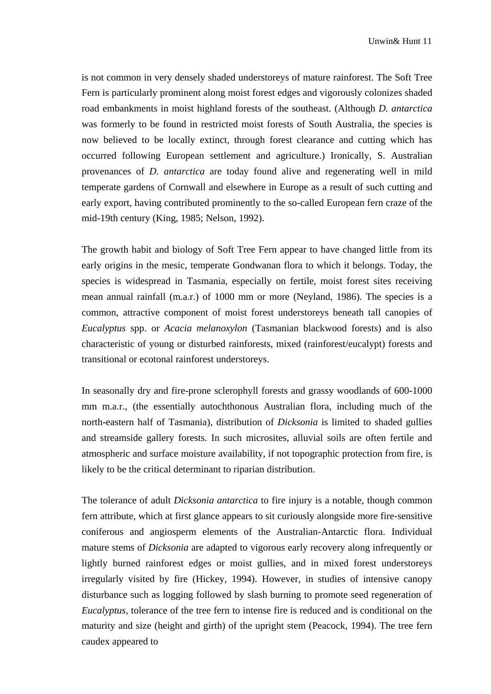is not common in very densely shaded understoreys of mature rainforest. The Soft Tree Fern is particularly prominent along moist forest edges and vigorously colonizes shaded road embankments in moist highland forests of the southeast. (Although *D. antarctica*  was formerly to be found in restricted moist forests of South Australia, the species is now believed to be locally extinct, through forest clearance and cutting which has occurred following European settlement and agriculture.) Ironically, S. Australian provenances of *D. antarctica* are today found alive and regenerating well in mild temperate gardens of Cornwall and elsewhere in Europe as a result of such cutting and early export, having contributed prominently to the so-called European fern craze of the mid-19th century (King, 1985; Nelson, 1992).

The growth habit and biology of Soft Tree Fern appear to have changed little from its early origins in the mesic, temperate Gondwanan flora to which it belongs. Today, the species is widespread in Tasmania, especially on fertile, moist forest sites receiving mean annual rainfall (m.a.r.) of 1000 mm or more (Neyland, 1986). The species is a common, attractive component of moist forest understoreys beneath tall canopies of *Eucalyptus* spp. or *Acacia melanoxylon* (Tasmanian blackwood forests) and is also characteristic of young or disturbed rainforests, mixed (rainforest/eucalypt) forests and transitional or ecotonal rainforest understoreys.

In seasonally dry and fire-prone sclerophyll forests and grassy woodlands of 600-1000 mm m.a.r., (the essentially autochthonous Australian flora, including much of the north-eastern half of Tasmania), distribution of *Dicksonia* is limited to shaded gullies and streamside gallery forests. In such microsites, alluvial soils are often fertile and atmospheric and surface moisture availability, if not topographic protection from fire, is likely to be the critical determinant to riparian distribution.

The tolerance of adult *Dicksonia antarctica* to fire injury is a notable, though common fern attribute, which at first glance appears to sit curiously alongside more fire-sensitive coniferous and angiosperm elements of the Australian-Antarctic flora. Individual mature stems of *Dicksonia* are adapted to vigorous early recovery along infrequently or lightly burned rainforest edges or moist gullies, and in mixed forest understoreys irregularly visited by fire (Hickey, 1994). However, in studies of intensive canopy disturbance such as logging followed by slash burning to promote seed regeneration of *Eucalyptus,* tolerance of the tree fern to intense fire is reduced and is conditional on the maturity and size (height and girth) of the upright stem (Peacock, 1994). The tree fern caudex appeared to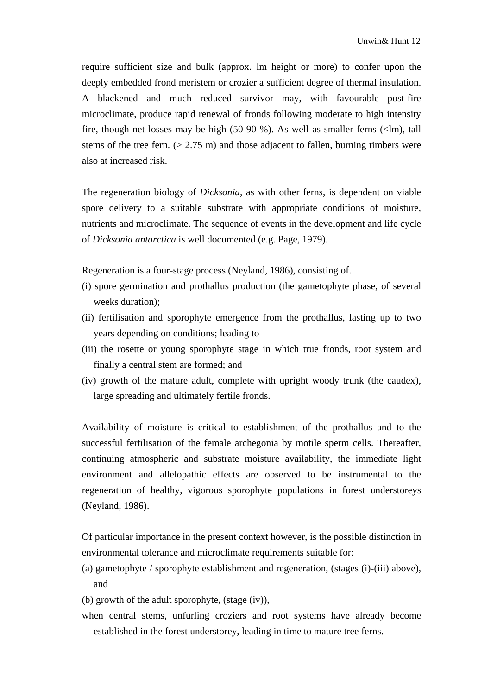require sufficient size and bulk (approx. lm height or more) to confer upon the deeply embedded frond meristem or crozier a sufficient degree of thermal insulation. A blackened and much reduced survivor may, with favourable post-fire microclimate, produce rapid renewal of fronds following moderate to high intensity fire, though net losses may be high (50-90 %). As well as smaller ferns (<lm), tall stems of the tree fern.  $(> 2.75 \text{ m})$  and those adjacent to fallen, burning timbers were also at increased risk.

The regeneration biology of *Dicksonia,* as with other ferns, is dependent on viable spore delivery to a suitable substrate with appropriate conditions of moisture, nutrients and microclimate. The sequence of events in the development and life cycle of *Dicksonia antarctica* is well documented (e.g. Page, 1979).

Regeneration is a four-stage process (Neyland, 1986), consisting of.

- (i) spore germination and prothallus production (the gametophyte phase, of several weeks duration);
- (ii) fertilisation and sporophyte emergence from the prothallus, lasting up to two years depending on conditions; leading to
- (iii) the rosette or young sporophyte stage in which true fronds, root system and finally a central stem are formed; and
- (iv) growth of the mature adult, complete with upright woody trunk (the caudex), large spreading and ultimately fertile fronds.

Availability of moisture is critical to establishment of the prothallus and to the successful fertilisation of the female archegonia by motile sperm cells. Thereafter, continuing atmospheric and substrate moisture availability, the immediate light environment and allelopathic effects are observed to be instrumental to the regeneration of healthy, vigorous sporophyte populations in forest understoreys (Neyland, 1986).

Of particular importance in the present context however, is the possible distinction in environmental tolerance and microclimate requirements suitable for:

- (a) gametophyte / sporophyte establishment and regeneration, (stages (i)-(iii) above), and
- (b) growth of the adult sporophyte, (stage (iv)),
- when central stems, unfurling croziers and root systems have already become established in the forest understorey, leading in time to mature tree ferns.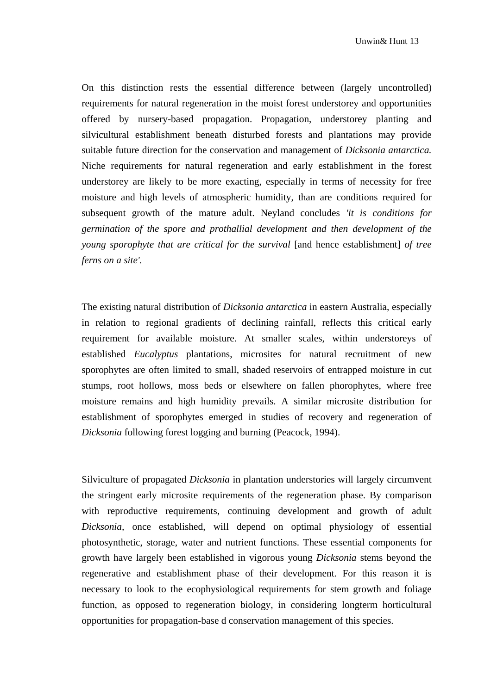On this distinction rests the essential difference between (largely uncontrolled) requirements for natural regeneration in the moist forest understorey and opportunities offered by nursery-based propagation. Propagation, understorey planting and silvicultural establishment beneath disturbed forests and plantations may provide suitable future direction for the conservation and management of *Dicksonia antarctica.*  Niche requirements for natural regeneration and early establishment in the forest understorey are likely to be more exacting, especially in terms of necessity for free moisture and high levels of atmospheric humidity, than are conditions required for subsequent growth of the mature adult. Neyland concludes *'it is conditions for germination of the spore and prothallial development and then development of the young sporophyte that are critical for the survival* [and hence establishment] *of tree ferns on a site'.* 

The existing natural distribution of *Dicksonia antarctica* in eastern Australia, especially in relation to regional gradients of declining rainfall, reflects this critical early requirement for available moisture. At smaller scales, within understoreys of established *Eucalyptus* plantations, microsites for natural recruitment of new sporophytes are often limited to small, shaded reservoirs of entrapped moisture in cut stumps, root hollows, moss beds or elsewhere on fallen phorophytes, where free moisture remains and high humidity prevails. A similar microsite distribution for establishment of sporophytes emerged in studies of recovery and regeneration of *Dicksonia* following forest logging and burning (Peacock, 1994).

Silviculture of propagated *Dicksonia* in plantation understories will largely circumvent the stringent early microsite requirements of the regeneration phase. By comparison with reproductive requirements, continuing development and growth of adult *Dicksonia,* once established, will depend on optimal physiology of essential photosynthetic, storage, water and nutrient functions. These essential components for growth have largely been established in vigorous young *Dicksonia* stems beyond the regenerative and establishment phase of their development. For this reason it is necessary to look to the ecophysiological requirements for stem growth and foliage function, as opposed to regeneration biology, in considering longterm horticultural opportunities for propagation-base d conservation management of this species.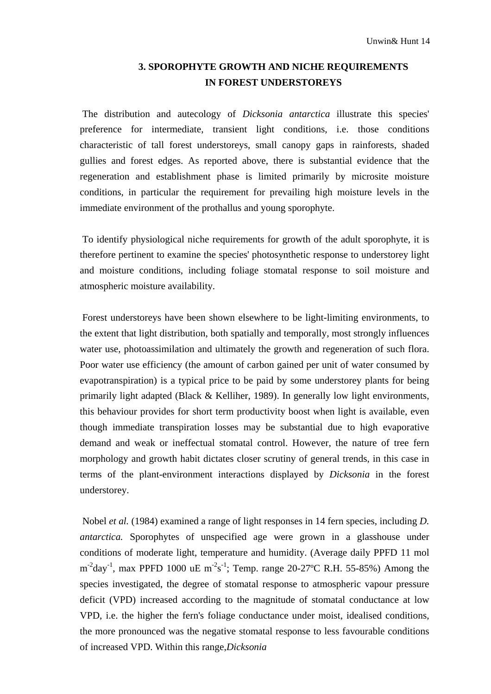## **3. SPOROPHYTE GROWTH AND NICHE REQUIREMENTS IN FOREST UNDERSTOREYS**

The distribution and autecology of *Dicksonia antarctica* illustrate this species' preference for intermediate, transient light conditions, i.e. those conditions characteristic of tall forest understoreys, small canopy gaps in rainforests, shaded gullies and forest edges. As reported above, there is substantial evidence that the regeneration and establishment phase is limited primarily by microsite moisture conditions, in particular the requirement for prevailing high moisture levels in the immediate environment of the prothallus and young sporophyte.

To identify physiological niche requirements for growth of the adult sporophyte, it is therefore pertinent to examine the species' photosynthetic response to understorey light and moisture conditions, including foliage stomatal response to soil moisture and atmospheric moisture availability.

Forest understoreys have been shown elsewhere to be light-limiting environments, to the extent that light distribution, both spatially and temporally, most strongly influences water use, photoassimilation and ultimately the growth and regeneration of such flora. Poor water use efficiency (the amount of carbon gained per unit of water consumed by evapotranspiration) is a typical price to be paid by some understorey plants for being primarily light adapted (Black & Kelliher, 1989). In generally low light environments, this behaviour provides for short term productivity boost when light is available, even though immediate transpiration losses may be substantial due to high evaporative demand and weak or ineffectual stomatal control. However, the nature of tree fern morphology and growth habit dictates closer scrutiny of general trends, in this case in terms of the plant-environment interactions displayed by *Dicksonia* in the forest understorey.

Nobel *et al.* (1984) examined a range of light responses in 14 fern species, including *D*. *antarctica.* Sporophytes of unspecified age were grown in a glasshouse under conditions of moderate light, temperature and humidity. (Average daily PPFD 11 mol  $m^{-2}$ day<sup>-1</sup>, max PPFD 1000 uE  $m^{-2}s^{-1}$ ; Temp. range 20-27°C R.H. 55-85%) Among the species investigated, the degree of stomatal response to atmospheric vapour pressure deficit (VPD) increased according to the magnitude of stomatal conductance at low VPD, i.e. the higher the fern's foliage conductance under moist, idealised conditions, the more pronounced was the negative stomatal response to less favourable conditions of increased VPD. Within this range,*Dicksonia*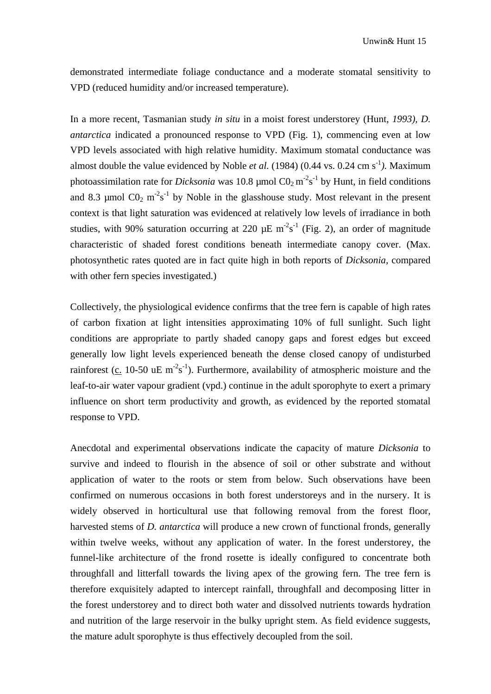demonstrated intermediate foliage conductance and a moderate stomatal sensitivity to VPD (reduced humidity and/or increased temperature).

In a more recent, Tasmanian study *in situ* in a moist forest understorey (Hunt, *1993), D. antarctica* indicated a pronounced response to VPD (Fig. 1), commencing even at low VPD levels associated with high relative humidity. Maximum stomatal conductance was almost double the value evidenced by Noble *et al.* (1984) (0.44 vs. 0.24 cm s<sup>-1</sup>). Maximum photoassimilation rate for *Dicksonia* was 10.8  $\mu$ mol CO<sub>2</sub> m<sup>-2</sup>s<sup>-1</sup> by Hunt, in field conditions and 8.3 µmol  $CO_2$  m<sup>-2</sup>s<sup>-1</sup> by Noble in the glasshouse study. Most relevant in the present context is that light saturation was evidenced at relatively low levels of irradiance in both studies, with 90% saturation occurring at 220  $\mu$ E m<sup>-2</sup>s<sup>-1</sup> (Fig. 2), an order of magnitude characteristic of shaded forest conditions beneath intermediate canopy cover. (Max. photosynthetic rates quoted are in fact quite high in both reports of *Dicksonia,* compared with other fern species investigated.)

Collectively, the physiological evidence confirms that the tree fern is capable of high rates of carbon fixation at light intensities approximating 10% of full sunlight. Such light conditions are appropriate to partly shaded canopy gaps and forest edges but exceed generally low light levels experienced beneath the dense closed canopy of undisturbed rainforest (c. 10-50 uE m<sup>-2</sup>s<sup>-1</sup>). Furthermore, availability of atmospheric moisture and the leaf-to-air water vapour gradient (vpd.) continue in the adult sporophyte to exert a primary influence on short term productivity and growth, as evidenced by the reported stomatal response to VPD.

Anecdotal and experimental observations indicate the capacity of mature *Dicksonia* to survive and indeed to flourish in the absence of soil or other substrate and without application of water to the roots or stem from below. Such observations have been confirmed on numerous occasions in both forest understoreys and in the nursery. It is widely observed in horticultural use that following removal from the forest floor, harvested stems of *D. antarctica* will produce a new crown of functional fronds, generally within twelve weeks, without any application of water. In the forest understorey, the funnel-like architecture of the frond rosette is ideally configured to concentrate both throughfall and litterfall towards the living apex of the growing fern. The tree fern is therefore exquisitely adapted to intercept rainfall, throughfall and decomposing litter in the forest understorey and to direct both water and dissolved nutrients towards hydration and nutrition of the large reservoir in the bulky upright stem. As field evidence suggests, the mature adult sporophyte is thus effectively decoupled from the soil.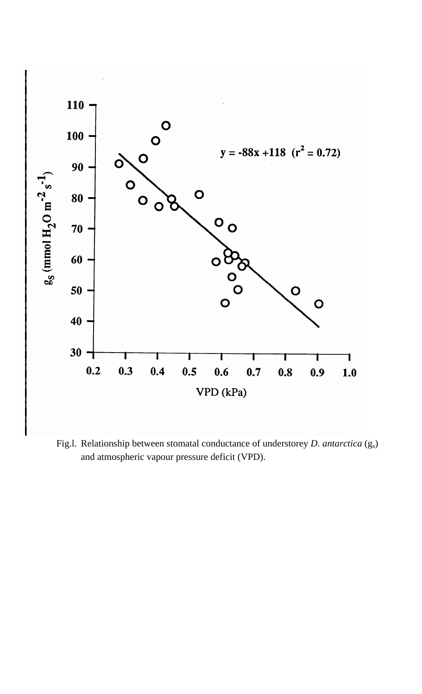

Fig.l. Relationship between stomatal conductance of understorey *D. antarctica* (gs) and atmospheric vapour pressure deficit (VPD).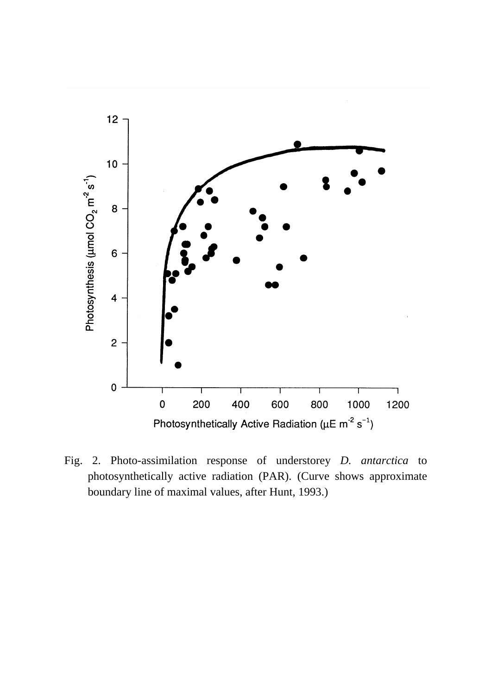

Fig. 2. Photo-assimilation response of understorey *D. antarctica* to photosynthetically active radiation (PAR). (Curve shows approximate boundary line of maximal values, after Hunt, 1993.)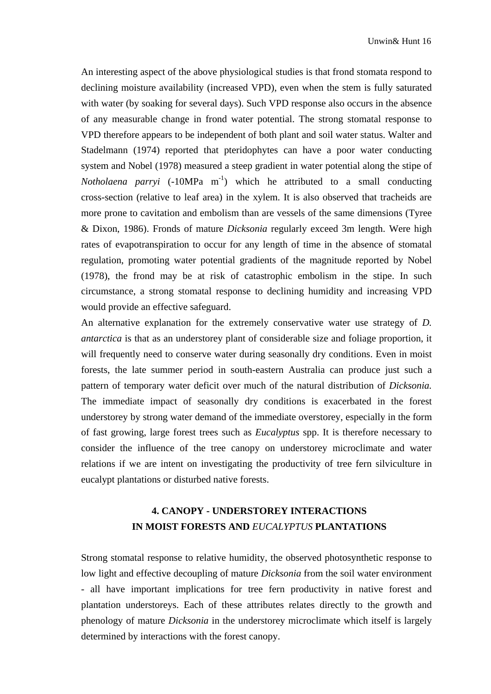An interesting aspect of the above physiological studies is that frond stomata respond to declining moisture availability (increased VPD), even when the stem is fully saturated with water (by soaking for several days). Such VPD response also occurs in the absence of any measurable change in frond water potential. The strong stomatal response to VPD therefore appears to be independent of both plant and soil water status. Walter and Stadelmann (1974) reported that pteridophytes can have a poor water conducting system and Nobel (1978) measured a steep gradient in water potential along the stipe of *Notholaena parryi*  $(-10MPa m^{-1})$  which he attributed to a small conducting cross-section (relative to leaf area) in the xylem. It is also observed that tracheids are more prone to cavitation and embolism than are vessels of the same dimensions (Tyree & Dixon, 1986). Fronds of mature *Dicksonia* regularly exceed 3m length. Were high rates of evapotranspiration to occur for any length of time in the absence of stomatal regulation, promoting water potential gradients of the magnitude reported by Nobel (1978), the frond may be at risk of catastrophic embolism in the stipe. In such circumstance, a strong stomatal response to declining humidity and increasing VPD would provide an effective safeguard.

An alternative explanation for the extremely conservative water use strategy of *D. antarctica* is that as an understorey plant of considerable size and foliage proportion, it will frequently need to conserve water during seasonally dry conditions. Even in moist forests, the late summer period in south-eastern Australia can produce just such a pattern of temporary water deficit over much of the natural distribution of *Dicksonia.*  The immediate impact of seasonally dry conditions is exacerbated in the forest understorey by strong water demand of the immediate overstorey, especially in the form of fast growing, large forest trees such as *Eucalyptus* spp. It is therefore necessary to consider the influence of the tree canopy on understorey microclimate and water relations if we are intent on investigating the productivity of tree fern silviculture in eucalypt plantations or disturbed native forests.

## **4. CANOPY - UNDERSTOREY INTERACTIONS IN MOIST FORESTS AND** *EUCALYPTUS* **PLANTATIONS**

Strong stomatal response to relative humidity, the observed photosynthetic response to low light and effective decoupling of mature *Dicksonia* from the soil water environment - all have important implications for tree fern productivity in native forest and plantation understoreys. Each of these attributes relates directly to the growth and phenology of mature *Dicksonia* in the understorey microclimate which itself is largely determined by interactions with the forest canopy.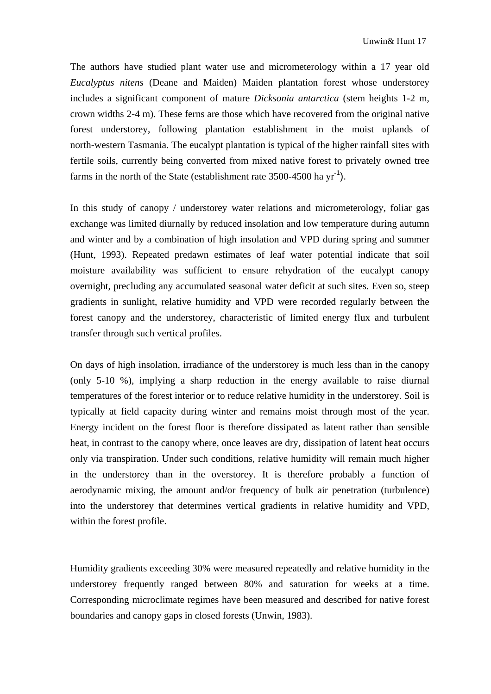The authors have studied plant water use and micrometerology within a 17 year old *Eucalyptus nitens* (Deane and Maiden) Maiden plantation forest whose understorey includes a significant component of mature *Dicksonia antarctica* (stem heights 1-2 m, crown widths 2-4 m). These ferns are those which have recovered from the original native forest understorey, following plantation establishment in the moist uplands of north-western Tasmania. The eucalypt plantation is typical of the higher rainfall sites with fertile soils, currently being converted from mixed native forest to privately owned tree farms in the north of the State (establishment rate  $3500-4500$  ha yr<sup>-1</sup>).

In this study of canopy / understorey water relations and micrometerology, foliar gas exchange was limited diurnally by reduced insolation and low temperature during autumn and winter and by a combination of high insolation and VPD during spring and summer (Hunt, 1993). Repeated predawn estimates of leaf water potential indicate that soil moisture availability was sufficient to ensure rehydration of the eucalypt canopy overnight, precluding any accumulated seasonal water deficit at such sites. Even so, steep gradients in sunlight, relative humidity and VPD were recorded regularly between the forest canopy and the understorey, characteristic of limited energy flux and turbulent transfer through such vertical profiles.

On days of high insolation, irradiance of the understorey is much less than in the canopy (only 5-10 %), implying a sharp reduction in the energy available to raise diurnal temperatures of the forest interior or to reduce relative humidity in the understorey. Soil is typically at field capacity during winter and remains moist through most of the year. Energy incident on the forest floor is therefore dissipated as latent rather than sensible heat, in contrast to the canopy where, once leaves are dry, dissipation of latent heat occurs only via transpiration. Under such conditions, relative humidity will remain much higher in the understorey than in the overstorey. It is therefore probably a function of aerodynamic mixing, the amount and/or frequency of bulk air penetration (turbulence) into the understorey that determines vertical gradients in relative humidity and VPD, within the forest profile.

Humidity gradients exceeding 30% were measured repeatedly and relative humidity in the understorey frequently ranged between 80% and saturation for weeks at a time. Corresponding microclimate regimes have been measured and described for native forest boundaries and canopy gaps in closed forests (Unwin, 1983).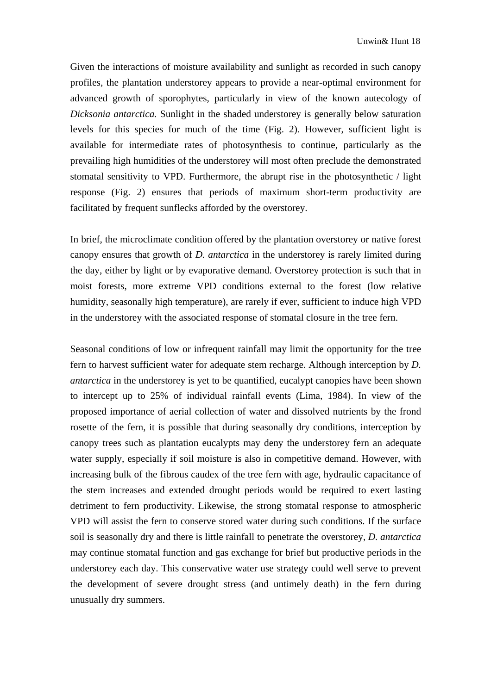Given the interactions of moisture availability and sunlight as recorded in such canopy profiles, the plantation understorey appears to provide a near-optimal environment for advanced growth of sporophytes, particularly in view of the known autecology of *Dicksonia antarctica.* Sunlight in the shaded understorey is generally below saturation levels for this species for much of the time (Fig. 2). However, sufficient light is available for intermediate rates of photosynthesis to continue, particularly as the prevailing high humidities of the understorey will most often preclude the demonstrated stomatal sensitivity to VPD. Furthermore, the abrupt rise in the photosynthetic / light response (Fig. 2) ensures that periods of maximum short-term productivity are facilitated by frequent sunflecks afforded by the overstorey.

In brief, the microclimate condition offered by the plantation overstorey or native forest canopy ensures that growth of *D. antarctica* in the understorey is rarely limited during the day, either by light or by evaporative demand. Overstorey protection is such that in moist forests, more extreme VPD conditions external to the forest (low relative humidity, seasonally high temperature), are rarely if ever, sufficient to induce high VPD in the understorey with the associated response of stomatal closure in the tree fern.

Seasonal conditions of low or infrequent rainfall may limit the opportunity for the tree fern to harvest sufficient water for adequate stem recharge. Although interception by *D. antarctica* in the understorey is yet to be quantified, eucalypt canopies have been shown to intercept up to 25% of individual rainfall events (Lima, 1984). In view of the proposed importance of aerial collection of water and dissolved nutrients by the frond rosette of the fern, it is possible that during seasonally dry conditions, interception by canopy trees such as plantation eucalypts may deny the understorey fern an adequate water supply, especially if soil moisture is also in competitive demand. However, with increasing bulk of the fibrous caudex of the tree fern with age, hydraulic capacitance of the stem increases and extended drought periods would be required to exert lasting detriment to fern productivity. Likewise, the strong stomatal response to atmospheric VPD will assist the fern to conserve stored water during such conditions. If the surface soil is seasonally dry and there is little rainfall to penetrate the overstorey, *D. antarctica*  may continue stomatal function and gas exchange for brief but productive periods in the understorey each day. This conservative water use strategy could well serve to prevent the development of severe drought stress (and untimely death) in the fern during unusually dry summers.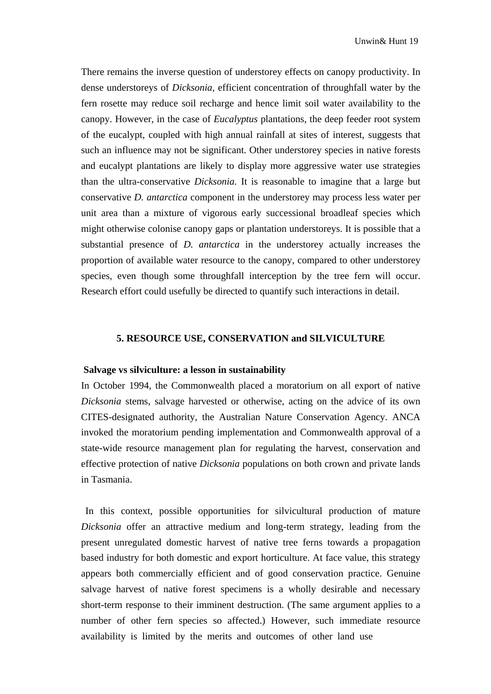There remains the inverse question of understorey effects on canopy productivity. In dense understoreys of *Dicksonia,* efficient concentration of throughfall water by the fern rosette may reduce soil recharge and hence limit soil water availability to the canopy. However, in the case of *Eucalyptus* plantations, the deep feeder root system of the eucalypt, coupled with high annual rainfall at sites of interest, suggests that such an influence may not be significant. Other understorey species in native forests and eucalypt plantations are likely to display more aggressive water use strategies than the ultra-conservative *Dicksonia.* It is reasonable to imagine that a large but conservative *D. antarctica* component in the understorey may process less water per unit area than a mixture of vigorous early successional broadleaf species which might otherwise colonise canopy gaps or plantation understoreys. It is possible that a substantial presence of *D. antarctica* in the understorey actually increases the proportion of available water resource to the canopy, compared to other understorey species, even though some throughfall interception by the tree fern will occur. Research effort could usefully be directed to quantify such interactions in detail.

### **5. RESOURCE USE, CONSERVATION and SILVICULTURE**

#### **Salvage vs silviculture: a lesson in sustainability**

In October 1994, the Commonwealth placed a moratorium on all export of native *Dicksonia* stems, salvage harvested or otherwise, acting on the advice of its own CITES-designated authority, the Australian Nature Conservation Agency. ANCA invoked the moratorium pending implementation and Commonwealth approval of a state-wide resource management plan for regulating the harvest, conservation and effective protection of native *Dicksonia* populations on both crown and private lands in Tasmania.

In this context, possible opportunities for silvicultural production of mature *Dicksonia* offer an attractive medium and long-term strategy, leading from the present unregulated domestic harvest of native tree ferns towards a propagation based industry for both domestic and export horticulture. At face value, this strategy appears both commercially efficient and of good conservation practice. Genuine salvage harvest of native forest specimens is a wholly desirable and necessary short-term response to their imminent destruction. (The same argument applies to a number of other fern species so affected.) However, such immediate resource availability is limited by the merits and outcomes of other land use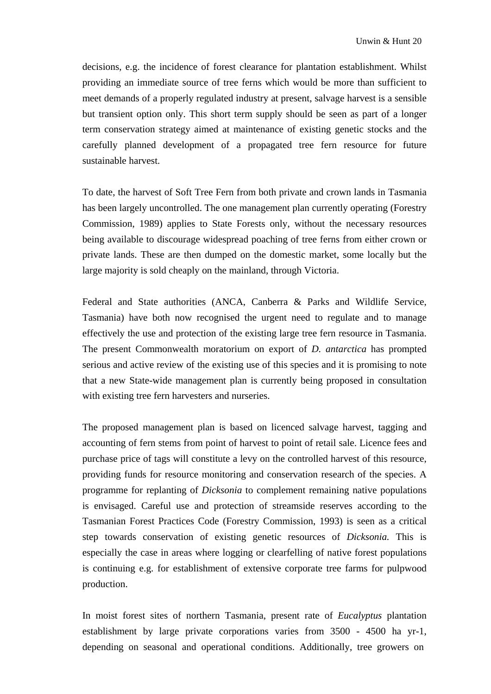decisions, e.g. the incidence of forest clearance for plantation establishment. Whilst providing an immediate source of tree ferns which would be more than sufficient to meet demands of a properly regulated industry at present, salvage harvest is a sensible but transient option only. This short term supply should be seen as part of a longer term conservation strategy aimed at maintenance of existing genetic stocks and the carefully planned development of a propagated tree fern resource for future sustainable harvest.

To date, the harvest of Soft Tree Fern from both private and crown lands in Tasmania has been largely uncontrolled. The one management plan currently operating (Forestry Commission, 1989) applies to State Forests only, without the necessary resources being available to discourage widespread poaching of tree ferns from either crown or private lands. These are then dumped on the domestic market, some locally but the large majority is sold cheaply on the mainland, through Victoria.

Federal and State authorities (ANCA, Canberra & Parks and Wildlife Service, Tasmania) have both now recognised the urgent need to regulate and to manage effectively the use and protection of the existing large tree fern resource in Tasmania. The present Commonwealth moratorium on export of *D. antarctica* has prompted serious and active review of the existing use of this species and it is promising to note that a new State-wide management plan is currently being proposed in consultation with existing tree fern harvesters and nurseries.

The proposed management plan is based on licenced salvage harvest, tagging and accounting of fern stems from point of harvest to point of retail sale. Licence fees and purchase price of tags will constitute a levy on the controlled harvest of this resource, providing funds for resource monitoring and conservation research of the species. A programme for replanting of *Dicksonia* to complement remaining native populations is envisaged. Careful use and protection of streamside reserves according to the Tasmanian Forest Practices Code (Forestry Commission, 1993) is seen as a critical step towards conservation of existing genetic resources of *Dicksonia.* This is especially the case in areas where logging or clearfelling of native forest populations is continuing e.g. for establishment of extensive corporate tree farms for pulpwood production.

In moist forest sites of northern Tasmania, present rate of *Eucalyptus* plantation establishment by large private corporations varies from 3500 - 4500 ha yr-1, depending on seasonal and operational conditions. Additionally, tree growers on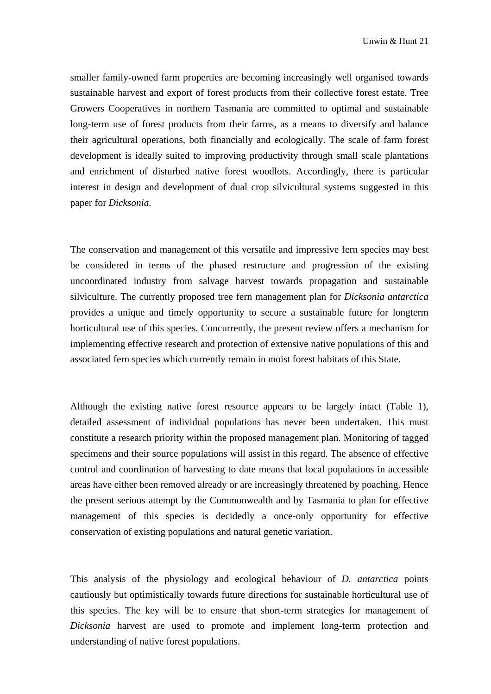smaller family-owned farm properties are becoming increasingly well organised towards sustainable harvest and export of forest products from their collective forest estate. Tree Growers Cooperatives in northern Tasmania are committed to optimal and sustainable long-term use of forest products from their farms, as a means to diversify and balance their agricultural operations, both financially and ecologically. The scale of farm forest development is ideally suited to improving productivity through small scale plantations and enrichment of disturbed native forest woodlots. Accordingly, there is particular interest in design and development of dual crop silvicultural systems suggested in this paper for *Dicksonia.* 

The conservation and management of this versatile and impressive fern species may best be considered in terms of the phased restructure and progression of the existing uncoordinated industry from salvage harvest towards propagation and sustainable silviculture. The currently proposed tree fern management plan for *Dicksonia antarctica*  provides a unique and timely opportunity to secure a sustainable future for longterm horticultural use of this species. Concurrently, the present review offers a mechanism for implementing effective research and protection of extensive native populations of this and associated fern species which currently remain in moist forest habitats of this State.

Although the existing native forest resource appears to be largely intact (Table 1), detailed assessment of individual populations has never been undertaken. This must constitute a research priority within the proposed management plan. Monitoring of tagged specimens and their source populations will assist in this regard. The absence of effective control and coordination of harvesting to date means that local populations in accessible areas have either been removed already or are increasingly threatened by poaching. Hence the present serious attempt by the Commonwealth and by Tasmania to plan for effective management of this species is decidedly a once-only opportunity for effective conservation of existing populations and natural genetic variation.

This analysis of the physiology and ecological behaviour of *D. antarctica* points cautiously but optimistically towards future directions for sustainable horticultural use of this species. The key will be to ensure that short-term strategies for management of *Dicksonia* harvest are used to promote and implement long-term protection and understanding of native forest populations.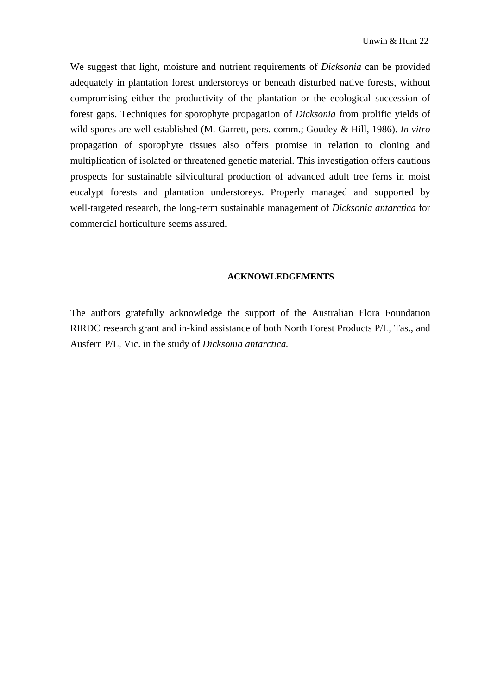We suggest that light, moisture and nutrient requirements of *Dicksonia* can be provided adequately in plantation forest understoreys or beneath disturbed native forests, without compromising either the productivity of the plantation or the ecological succession of forest gaps. Techniques for sporophyte propagation of *Dicksonia* from prolific yields of wild spores are well established (M. Garrett, pers. comm.; Goudey & Hill, 1986). *In vitro*  propagation of sporophyte tissues also offers promise in relation to cloning and multiplication of isolated or threatened genetic material. This investigation offers cautious prospects for sustainable silvicultural production of advanced adult tree ferns in moist eucalypt forests and plantation understoreys. Properly managed and supported by well-targeted research, the long-term sustainable management of *Dicksonia antarctica* for commercial horticulture seems assured.

#### **ACKNOWLEDGEMENTS**

The authors gratefully acknowledge the support of the Australian Flora Foundation RIRDC research grant and in-kind assistance of both North Forest Products P/L, Tas., and Ausfern P/L, Vic. in the study of *Dicksonia antarctica.*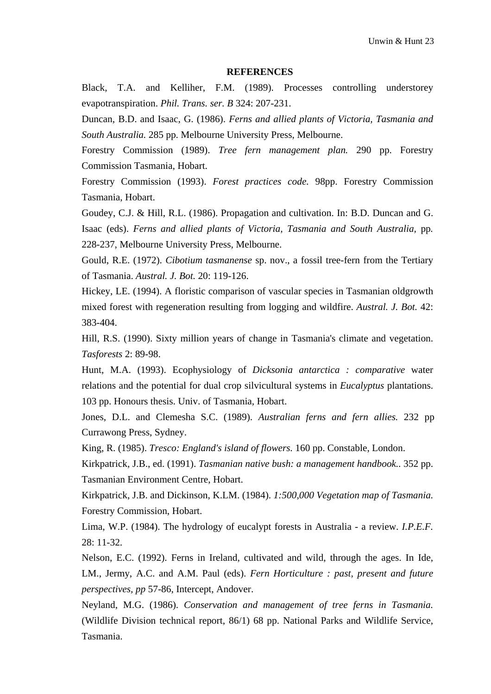#### **REFERENCES**

Black, T.A. and Kelliher, F.M. (1989). Processes controlling understorey evapotranspiration. *Phil. Trans. ser. B* 324: 207-231.

Duncan, B.D. and Isaac, G. (1986). *Ferns and allied plants of Victoria, Tasmania and South Australia.* 285 pp. Melbourne University Press, Melbourne.

Forestry Commission (1989). *Tree fern management plan.* 290 pp. Forestry Commission Tasmania, Hobart.

Forestry Commission (1993). *Forest practices code.* 98pp. Forestry Commission Tasmania, Hobart.

Goudey, C.J. & Hill, R.L. (1986). Propagation and cultivation. In: B.D. Duncan and G. Isaac (eds). *Ferns and allied plants of Victoria, Tasmania and South Australia,* pp*.*  228-237, Melbourne University Press, Melbourne.

Gould, R.E. (1972). *Cibotium tasmanense* sp. nov., a fossil tree-fern from the Tertiary of Tasmania. *Austral. J. Bot.* 20: 119-126.

Hickey, LE. (1994). A floristic comparison of vascular species in Tasmanian oldgrowth mixed forest with regeneration resulting from logging and wildfire. *Austral. J. Bot.* 42: 383-404.

Hill, R.S. (1990). Sixty million years of change in Tasmania's climate and vegetation. *Tasforests* 2: 89-98.

Hunt, M.A. (1993). Ecophysiology of *Dicksonia antarctica : comparative* water relations and the potential for dual crop silvicultural systems in *Eucalyptus* plantations. 103 pp. Honours thesis. Univ. of Tasmania, Hobart.

Jones, D.L. and Clemesha S.C. (1989). *Australian ferns and fern allies.* 232 pp Currawong Press, Sydney.

King, R. (1985). *Tresco: England's island of flowers.* 160 pp. Constable, London.

Kirkpatrick, J.B., ed. (1991). *Tasmanian native bush: a management handbook..* 352 pp. Tasmanian Environment Centre, Hobart.

Kirkpatrick, J.B. and Dickinson, K.LM. (1984). *1:500,000 Vegetation map of Tasmania.*  Forestry Commission, Hobart.

Lima, W.P. (1984). The hydrology of eucalypt forests in Australia - a review. *I.P.E.F.*  28: 11-32.

Nelson, E.C. (1992). Ferns in Ireland, cultivated and wild, through the ages. In Ide, LM., Jermy, A.C. and A.M. Paul (eds). *Fern Horticulture : past, present and future perspectives, pp* 57-86, Intercept, Andover.

Neyland, M.G. (1986). *Conservation and management of tree ferns in Tasmania.*  (Wildlife Division technical report, 86/1) 68 pp. National Parks and Wildlife Service, Tasmania.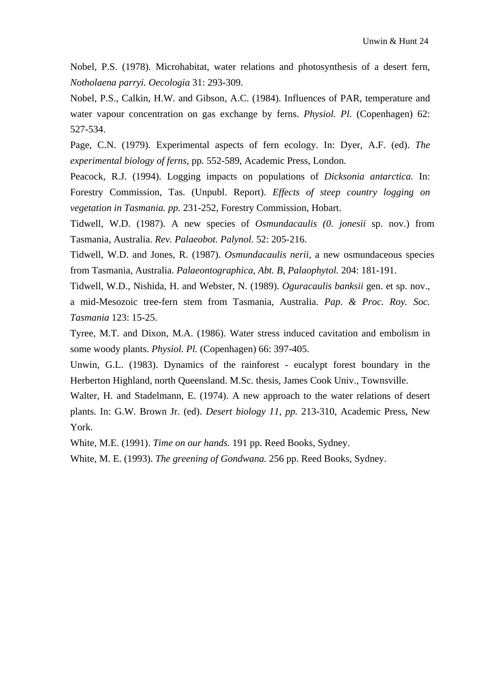Nobel, P.S. (1978). Microhabitat, water relations and photosynthesis of a desert fern, *Notholaena parryi. Oecologia* 31: 293-309.

Nobel, P.S., Calkin, H.W. and Gibson, A.C. (1984). Influences of PAR, temperature and water vapour concentration on gas exchange by ferns. *Physiol. Pl.* (Copenhagen) 62: 527-534.

Page, C.N. (1979). Experimental aspects of fern ecology. In: Dyer, A.F. (ed). *The experimental biology of ferns,* pp*.* 552-589, Academic Press, London.

Peacock, R.J. (1994). Logging impacts on populations of *Dicksonia antarctica.* In: Forestry Commission, Tas. (Unpubl. Report). *Effects of steep country logging on vegetation in Tasmania. pp.* 231-252, Forestry Commission, Hobart.

Tidwell, W.D. (1987). A new species of *Osmundacaulis (0. jonesii* sp. nov.) from Tasmania, Australia. *Rev. Palaeobot. Palynol.* 52: 205-216.

Tidwell, W.D. and Jones, R. (1987). *Osmundacaulis nerii,* a new osmundaceous species from Tasmania, Australia. *Palaeontographica, Abt. B, Palaophytol.* 204: 181-191.

Tidwell, W.D., Nishida, H. and Webster, N. (1989). *Oguracaulis banksii* gen. et sp. nov., a mid-Mesozoic tree-fern stem from Tasmania, Australia. *Pap. & Proc. Roy. Soc. Tasmania* 123: 15-25.

Tyree, M.T. and Dixon, M.A. (1986). Water stress induced cavitation and embolism in some woody plants. *Physiol. Pl.* (Copenhagen) 66: 397-405.

Unwin, G.L. (1983). Dynamics of the rainforest - eucalypt forest boundary in the Herberton Highland, north Queensland. M.Sc. thesis, James Cook Univ., Townsville.

Walter, H. and Stadelmann, E. (1974). A new approach to the water relations of desert plants. In: G.W. Brown Jr. (ed). *Desert biology 11, pp.* 213-310, Academic Press, New York.

White, M.E. (1991). *Time on our hands.* 191 pp. Reed Books, Sydney.

White, M. E. (1993). *The greening of Gondwana.* 256 pp. Reed Books, Sydney.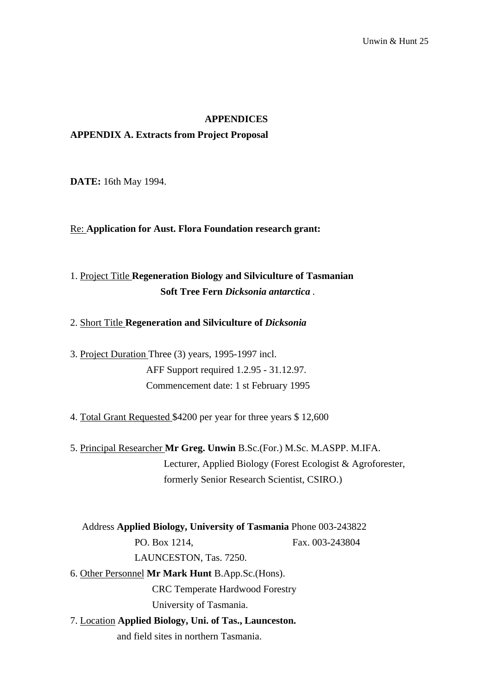#### **APPENDICES**

### **APPENDIX A. Extracts from Project Proposal**

**DATE:** 16th May 1994.

Re: **Application for Aust. Flora Foundation research grant:**

## 1. Project Title **Regeneration Biology and Silviculture of Tasmanian Soft Tree Fern** *Dicksonia antarctica .*

#### 2. Short Title **Regeneration and Silviculture of** *Dicksonia*

3. Project Duration Three (3) years, 1995-1997 incl. AFF Support required 1.2.95 - 31.12.97. Commencement date: 1 st February 1995

4. Total Grant Requested \$4200 per year for three years \$ 12,600

5. Principal Researcher **Mr Greg. Unwin** B.Sc.(For.) M.Sc. M.ASPP. M.IFA. Lecturer, Applied Biology (Forest Ecologist & Agroforester, formerly Senior Research Scientist, CSIRO.)

Address **Applied Biology, University of Tasmania** Phone 003-243822 PO. Box 1214, Fax. 003-243804 LAUNCESTON, Tas. 7250. 6. Other Personnel **Mr Mark Hunt** B.App.Sc.(Hons). CRC Temperate Hardwood Forestry University of Tasmania.

7. Location **Applied Biology, Uni. of Tas., Launceston.** and field sites in northern Tasmania.